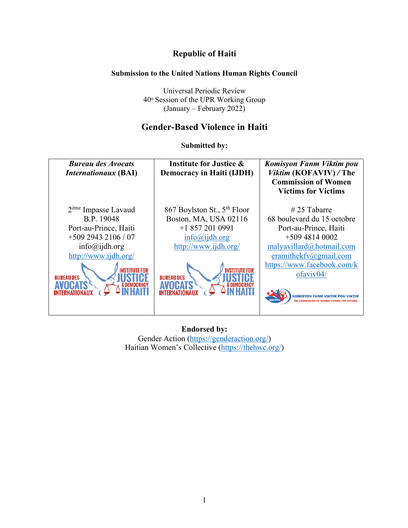# **Republic of Haiti**

## **Submission to the United Nations Human Rights Council**

Universal Periodic Review  $40<sup>th</sup>$  Session of the UPR Working Group (January – February 2022)

# **Gender-Based Violence in Haiti**

**Submitted by:**



**Endorsed by:** Gender Action (https://genderaction.org/) Haitian Women's Collective (https://thehwc.org/)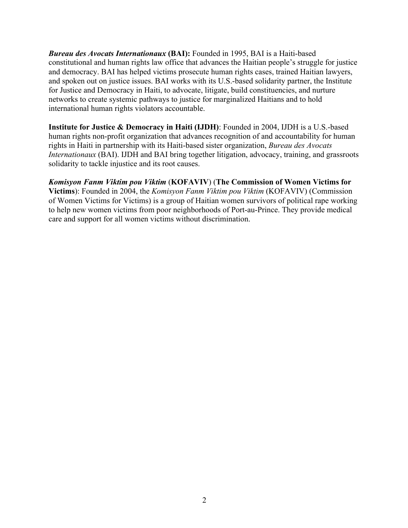*Bureau des Avocats Internationaux* **(BAI):** Founded in 1995, BAI is a Haiti-based constitutional and human rights law office that advances the Haitian people's struggle for justice and democracy. BAI has helped victims prosecute human rights cases, trained Haitian lawyers, and spoken out on justice issues. BAI works with its U.S.-based solidarity partner, the Institute for Justice and Democracy in Haiti, to advocate, litigate, build constituencies, and nurture networks to create systemic pathways to justice for marginalized Haitians and to hold international human rights violators accountable.

**Institute for Justice & Democracy in Haiti (IJDH)**: Founded in 2004, IJDH is a U.S.-based human rights non-profit organization that advances recognition of and accountability for human rights in Haiti in partnership with its Haiti-based sister organization, *Bureau des Avocats Internationaux* (BAI). IJDH and BAI bring together litigation, advocacy, training, and grassroots solidarity to tackle injustice and its root causes.

*Komisyon Fanm Viktim pou Viktim* (**KOFAVIV**) (**The Commission of Women Victims for Victims**): Founded in 2004, the *Komisyon Fanm Viktim pou Viktim* (KOFAVIV) (Commission of Women Victims for Victims) is a group of Haitian women survivors of political rape working to help new women victims from poor neighborhoods of Port-au-Prince. They provide medical care and support for all women victims without discrimination.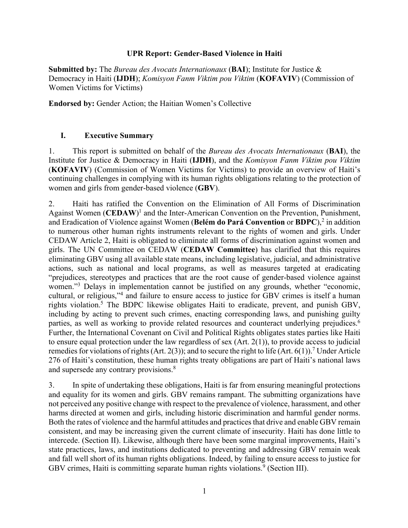#### **UPR Report: Gender-Based Violence in Haiti**

**Submitted by:** The *Bureau des Avocats Internationaux* (**BAI**); Institute for Justice & Democracy in Haiti (**IJDH**); *Komisyon Fanm Viktim pou Viktim* (**KOFAVIV**) (Commission of Women Victims for Victims)

**Endorsed by:** Gender Action; the Haitian Women's Collective

### **I. Executive Summary**

1. This report is submitted on behalf of the *Bureau des Avocats Internationaux* (**BAI**), the Institute for Justice & Democracy in Haiti (**IJDH**), and the *Komisyon Fanm Viktim pou Viktim* (**KOFAVIV**) (Commission of Women Victims for Victims) to provide an overview of Haiti's continuing challenges in complying with its human rights obligations relating to the protection of women and girls from gender-based violence (**GBV**).

2. Haiti has ratified the Convention on the Elimination of All Forms of Discrimination Against Women (**CEDAW**) <sup>1</sup> and the Inter-American Convention on the Prevention, Punishment, and Eradication of Violence against Women (**Belém do Pará Convention** or **BDPC**), <sup>2</sup> in addition to numerous other human rights instruments relevant to the rights of women and girls. Under CEDAW Article 2, Haiti is obligated to eliminate all forms of discrimination against women and girls. The UN Committee on CEDAW (**CEDAW Committee**) has clarified that this requires eliminating GBV using all available state means, including legislative, judicial, and administrative actions, such as national and local programs, as well as measures targeted at eradicating "prejudices, stereotypes and practices that are the root cause of gender-based violence against women."<sup>3</sup> Delays in implementation cannot be justified on any grounds, whether "economic, cultural, or religious,"4 and failure to ensure access to justice for GBV crimes is itself a human rights violation.5 The BDPC likewise obligates Haiti to eradicate, prevent, and punish GBV, including by acting to prevent such crimes, enacting corresponding laws, and punishing guilty parties, as well as working to provide related resources and counteract underlying prejudices.<sup>6</sup> Further, the International Covenant on Civil and Political Rights obligates states parties like Haiti to ensure equal protection under the law regardless of sex (Art. 2(1)), to provide access to judicial remedies for violations of rights (Art. 2(3)); and to secure the right to life (Art. 6(1)).<sup>7</sup> Under Article 276 of Haiti's constitution, these human rights treaty obligations are part of Haiti's national laws and supersede any contrary provisions.<sup>8</sup>

3. In spite of undertaking these obligations, Haiti is far from ensuring meaningful protections and equality for its women and girls. GBV remains rampant. The submitting organizations have not perceived any positive change with respect to the prevalence of violence, harassment, and other harms directed at women and girls, including historic discrimination and harmful gender norms. Both the rates of violence and the harmful attitudes and practices that drive and enable GBV remain consistent, and may be increasing given the current climate of insecurity. Haiti has done little to intercede. (Section II). Likewise, although there have been some marginal improvements, Haiti's state practices, laws, and institutions dedicated to preventing and addressing GBV remain weak and fall well short of its human rights obligations. Indeed, by failing to ensure access to justice for GBV crimes, Haiti is committing separate human rights violations. <sup>9</sup> (Section III).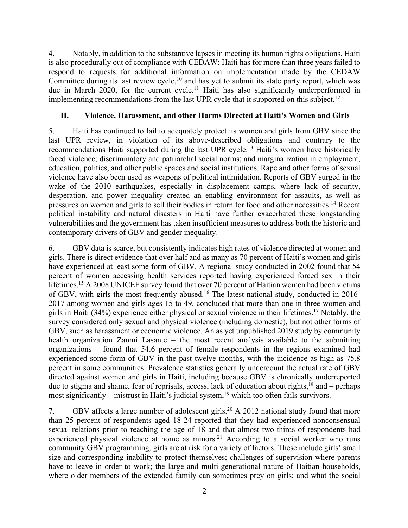4. Notably, in addition to the substantive lapses in meeting its human rights obligations, Haiti is also procedurally out of compliance with CEDAW: Haiti has for more than three years failed to respond to requests for additional information on implementation made by the CEDAW Committee during its last review cycle, $10$  and has yet to submit its state party report, which was due in March 2020, for the current cycle.<sup>11</sup> Haiti has also significantly underperformed in implementing recommendations from the last UPR cycle that it supported on this subject.<sup>12</sup>

## **II. Violence, Harassment, and other Harms Directed at Haiti's Women and Girls**

5. Haiti has continued to fail to adequately protect its women and girls from GBV since the last UPR review, in violation of its above-described obligations and contrary to the recommendations Haiti supported during the last UPR cycle.<sup>13</sup> Haiti's women have historically faced violence; discriminatory and patriarchal social norms; and marginalization in employment, education, politics, and other public spaces and social institutions. Rape and other forms of sexual violence have also been used as weapons of political intimidation. Reports of GBV surged in the wake of the 2010 earthquakes, especially in displacement camps, where lack of security, desperation, and power inequality created an enabling environment for assaults, as well as pressures on women and girls to sell their bodies in return for food and other necessities.14 Recent political instability and natural disasters in Haiti have further exacerbated these longstanding vulnerabilities and the government has taken insufficient measures to address both the historic and contemporary drivers of GBV and gender inequality.

6. GBV data is scarce, but consistently indicates high rates of violence directed at women and girls. There is direct evidence that over half and as many as 70 percent of Haiti's women and girls have experienced at least some form of GBV. A regional study conducted in 2002 found that 54 percent of women accessing health services reported having experienced forced sex in their lifetimes.<sup>15</sup> A 2008 UNICEF survey found that over 70 percent of Haitian women had been victims of GBV, with girls the most frequently abused.16 The latest national study, conducted in 2016- 2017 among women and girls ages 15 to 49, concluded that more than one in three women and girls in Haiti (34%) experience either physical or sexual violence in their lifetimes.17 Notably, the survey considered only sexual and physical violence (including domestic), but not other forms of GBV, such as harassment or economic violence. An as yet unpublished 2019 study by community health organization Zanmi Lasante – the most recent analysis available to the submitting organizations – found that 54.6 percent of female respondents in the regions examined had experienced some form of GBV in the past twelve months, with the incidence as high as 75.8 percent in some communities. Prevalence statistics generally undercount the actual rate of GBV directed against women and girls in Haiti, including because GBV is chronically underreported due to stigma and shame, fear of reprisals, access, lack of education about rights, $^{18}$  and – perhaps most significantly – mistrust in Haiti's judicial system,<sup>19</sup> which too often fails survivors.

7. GBV affects a large number of adolescent girls.<sup>20</sup> A 2012 national study found that more than 25 percent of respondents aged 18-24 reported that they had experienced nonconsensual sexual relations prior to reaching the age of 18 and that almost two-thirds of respondents had experienced physical violence at home as minors.<sup>21</sup> According to a social worker who runs community GBV programming, girls are at risk for a variety of factors. These include girls' small size and corresponding inability to protect themselves; challenges of supervision where parents have to leave in order to work; the large and multi-generational nature of Haitian households, where older members of the extended family can sometimes prey on girls; and what the social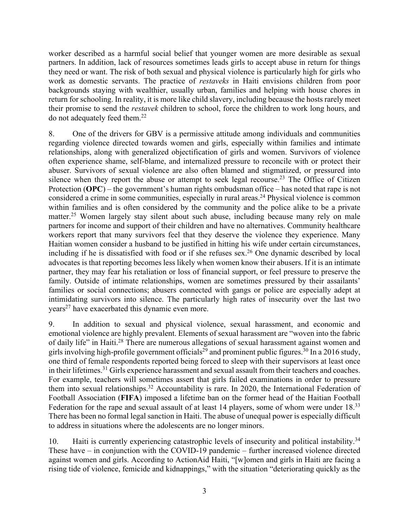worker described as a harmful social belief that younger women are more desirable as sexual partners. In addition, lack of resources sometimes leads girls to accept abuse in return for things they need or want. The risk of both sexual and physical violence is particularly high for girls who work as domestic servants. The practice of *restaveks* in Haiti envisions children from poor backgrounds staying with wealthier, usually urban, families and helping with house chores in return for schooling. In reality, it is more like child slavery, including because the hosts rarely meet their promise to send the *restavek* children to school, force the children to work long hours, and do not adequately feed them. 22

8. One of the drivers for GBV is a permissive attitude among individuals and communities regarding violence directed towards women and girls, especially within families and intimate relationships, along with generalized objectification of girls and women. Survivors of violence often experience shame, self-blame, and internalized pressure to reconcile with or protect their abuser. Survivors of sexual violence are also often blamed and stigmatized, or pressured into silence when they report the abuse or attempt to seek legal recourse.<sup>23</sup> The Office of Citizen Protection (**OPC**) – the government's human rights ombudsman office – has noted that rape is not considered a crime in some communities, especially in rural areas.<sup>24</sup> Physical violence is common within families and is often considered by the community and the police alike to be a private matter.<sup>25</sup> Women largely stay silent about such abuse, including because many rely on male partners for income and support of their children and have no alternatives. Community healthcare workers report that many survivors feel that they deserve the violence they experience. Many Haitian women consider a husband to be justified in hitting his wife under certain circumstances, including if he is dissatisfied with food or if she refuses sex.26 One dynamic described by local advocates is that reporting becomes less likely when women know their abusers. If it is an intimate partner, they may fear his retaliation or loss of financial support, or feel pressure to preserve the family. Outside of intimate relationships, women are sometimes pressured by their assailants' families or social connections; abusers connected with gangs or police are especially adept at intimidating survivors into silence. The particularly high rates of insecurity over the last two  $years<sup>27</sup>$  have exacerbated this dynamic even more.

9. In addition to sexual and physical violence, sexual harassment, and economic and emotional violence are highly prevalent. Elements of sexual harassment are "woven into the fabric of daily life" in Haiti.<sup>28</sup> There are numerous allegations of sexual harassment against women and girls involving high-profile government officials<sup>29</sup> and prominent public figures.<sup>30</sup> In a 2016 study, one third of female respondents reported being forced to sleep with their supervisors at least once in their lifetimes.31 Girls experience harassment and sexual assault from their teachers and coaches. For example, teachers will sometimes assert that girls failed examinations in order to pressure them into sexual relationships.32 Accountability is rare. In 2020, the International Federation of Football Association (**FIFA**) imposed a lifetime ban on the former head of the Haitian Football Federation for the rape and sexual assault of at least 14 players, some of whom were under 18.<sup>33</sup> There has been no formal legal sanction in Haiti. The abuse of unequal power is especially difficult to address in situations where the adolescents are no longer minors.

10. Haiti is currently experiencing catastrophic levels of insecurity and political instability.<sup>34</sup> These have – in conjunction with the COVID-19 pandemic – further increased violence directed against women and girls. According to ActionAid Haiti, "[w]omen and girls in Haiti are facing a rising tide of violence, femicide and kidnappings," with the situation "deteriorating quickly as the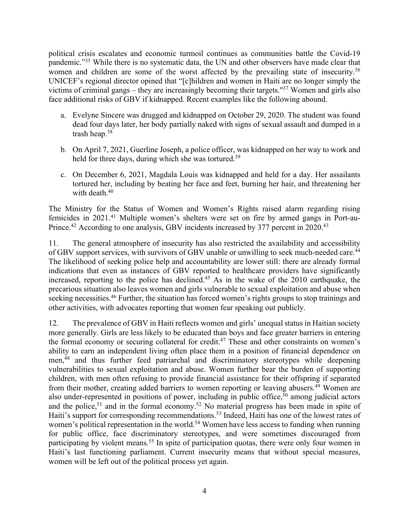political crisis escalates and economic turmoil continues as communities battle the Covid-19 pandemic."35 While there is no systematic data, the UN and other observers have made clear that women and children are some of the worst affected by the prevailing state of insecurity.<sup>36</sup> UNICEF's regional director opined that "[c]hildren and women in Haiti are no longer simply the victims of criminal gangs – they are increasingly becoming their targets."37 Women and girls also face additional risks of GBV if kidnapped. Recent examples like the following abound.

- a. Evelyne Sincere was drugged and kidnapped on October 29, 2020. The student was found dead four days later, her body partially naked with signs of sexual assault and dumped in a trash heap. 38
- b. On April 7, 2021, Guerline Joseph, a police officer, was kidnapped on her way to work and held for three days, during which she was tortured.<sup>39</sup>
- c. On December 6, 2021, Magdala Louis was kidnapped and held for a day. Her assailants tortured her, including by beating her face and feet, burning her hair, and threatening her with death.<sup>40</sup>

The Ministry for the Status of Women and Women's Rights raised alarm regarding rising femicides in 2021.<sup>41</sup> Multiple women's shelters were set on fire by armed gangs in Port-au-Prince.<sup>42</sup> According to one analysis, GBV incidents increased by 377 percent in 2020.<sup>43</sup>

11. The general atmosphere of insecurity has also restricted the availability and accessibility of GBV support services, with survivors of GBV unable or unwilling to seek much-needed care.44 The likelihood of seeking police help and accountability are lower still: there are already formal indications that even as instances of GBV reported to healthcare providers have significantly increased, reporting to the police has declined.<sup>45</sup> As in the wake of the 2010 earthquake, the precarious situation also leaves women and girls vulnerable to sexual exploitation and abuse when seeking necessities.<sup>46</sup> Further, the situation has forced women's rights groups to stop trainings and other activities, with advocates reporting that women fear speaking out publicly.

12. The prevalence of GBV in Haiti reflects women and girls' unequal status in Haitian society more generally. Girls are less likely to be educated than boys and face greater barriers in entering the formal economy or securing collateral for credit.<sup>47</sup> These and other constraints on women's ability to earn an independent living often place them in a position of financial dependence on men, <sup>48</sup> and thus further feed patriarchal and discriminatory stereotypes while deepening vulnerabilities to sexual exploitation and abuse. Women further bear the burden of supporting children, with men often refusing to provide financial assistance for their offspring if separated from their mother, creating added barriers to women reporting or leaving abusers.<sup>49</sup> Women are also under-represented in positions of power, including in public office,  $50$  among judicial actors and the police,<sup>51</sup> and in the formal economy.<sup>52</sup> No material progress has been made in spite of Haiti's support for corresponding recommendations.<sup>53</sup> Indeed, Haiti has one of the lowest rates of women's political representation in the world.<sup>54</sup> Women have less access to funding when running for public office, face discriminatory stereotypes, and were sometimes discouraged from participating by violent means.<sup>55</sup> In spite of participation quotas, there were only four women in Haiti's last functioning parliament. Current insecurity means that without special measures, women will be left out of the political process yet again.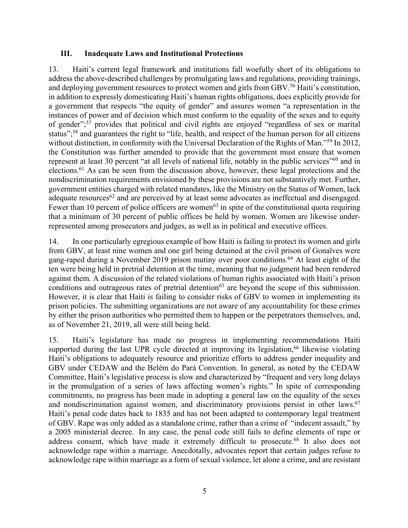### **III. Inadequate Laws and Institutional Protections**

13. Haiti's current legal framework and institutions fall woefully short of its obligations to address the above-described challenges by promulgating laws and regulations, providing trainings, and deploying government resources to protect women and girls from GBV.<sup>56</sup> Haiti's constitution, in addition to expressly domesticating Haiti's human rights obligations, does explicitly provide for a government that respects "the equity of gender" and assures women "a representation in the instances of power and of decision which must conform to the equality of the sexes and to equity of gender";57 provides that political and civil rights are enjoyed "regardless of sex or marital status";<sup>58</sup> and guarantees the right to "life, health, and respect of the human person for all citizens without distinction, in conformity with the Universal Declaration of the Rights of Man."<sup>59</sup> In 2012, the Constitution was further amended to provide that the government must ensure that women represent at least 30 percent "at all levels of national life, notably in the public services"<sup>60</sup> and in elections.61 As can be seen from the discussion above, however, these legal protections and the nondiscrimination requirements envisioned by these provisions are not substantively met. Further, government entities charged with related mandates, like the Ministry on the Status of Women, lack adequate resources<sup>62</sup> and are perceived by at least some advocates as ineffectual and disengaged. Fewer than 10 percent of police officers are women<sup>63</sup> in spite of the constitutional quota requiring that a minimum of 30 percent of public offices be held by women. Women are likewise underrepresented among prosecutors and judges, as well as in political and executive offices.

14. In one particularly egregious example of how Haiti is failing to protect its women and girls from GBV, at least nine women and one girl being detained at the civil prison of Gonaïves were gang-raped during a November 2019 prison mutiny over poor conditions.<sup>64</sup> At least eight of the ten were being held in pretrial detention at the time, meaning that no judgment had been rendered against them. A discussion of the related violations of human rights associated with Haiti's prison conditions and outrageous rates of pretrial detention<sup>65</sup> are beyond the scope of this submission. However, it is clear that Haiti is failing to consider risks of GBV to women in implementing its prison policies. The submitting organizations are not aware of any accountability for these crimes by either the prison authorities who permitted them to happen or the perpetrators themselves, and, as of November 21, 2019, all were still being held.

15. Haiti's legislature has made no progress in implementing recommendations Haiti supported during the last UPR cycle directed at improving its legislation,  $66$  likewise violating Haiti's obligations to adequately resource and prioritize efforts to address gender inequality and GBV under CEDAW and the Belém do Pará Convention. In general, as noted by the CEDAW Committee, Haiti's legislative process is slow and characterized by "frequent and very long delays in the promulgation of a series of laws affecting women's rights." In spite of corresponding commitments, no progress has been made in adopting a general law on the equality of the sexes and nondiscrimination against women, and discriminatory provisions persist in other laws.<sup>67</sup> Haiti's penal code dates back to 1835 and has not been adapted to contemporary legal treatment of GBV. Rape was only added as a standalone crime, rather than a crime of "indecent assault," by a 2005 ministerial decree. In any case, the penal code still fails to define elements of rape or address consent, which have made it extremely difficult to prosecute.<sup>68</sup> It also does not acknowledge rape within a marriage. Anecdotally, advocates report that certain judges refuse to acknowledge rape within marriage as a form of sexual violence, let alone a crime, and are resistant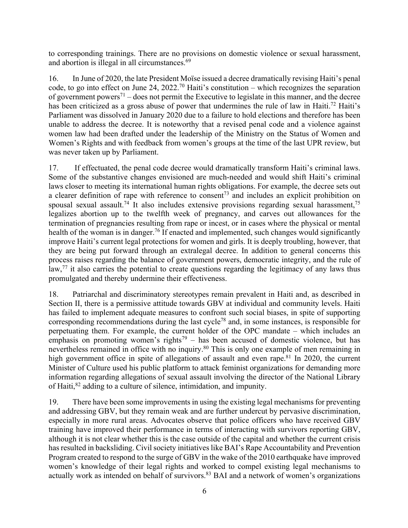to corresponding trainings. There are no provisions on domestic violence or sexual harassment, and abortion is illegal in all circumstances.<sup>69</sup>

16. In June of 2020, the late President Moïse issued a decree dramatically revising Haiti's penal code, to go into effect on June 24, 2022.<sup>70</sup> Haiti's constitution – which recognizes the separation of government powers<sup>71</sup> – does not permit the Executive to legislate in this manner, and the decree has been criticized as a gross abuse of power that undermines the rule of law in Haiti.<sup>72</sup> Haiti's Parliament was dissolved in January 2020 due to a failure to hold elections and therefore has been unable to address the decree. It is noteworthy that a revised penal code and a violence against women law had been drafted under the leadership of the Ministry on the Status of Women and Women's Rights and with feedback from women's groups at the time of the last UPR review, but was never taken up by Parliament.

17. If effectuated, the penal code decree would dramatically transform Haiti's criminal laws. Some of the substantive changes envisioned are much-needed and would shift Haiti's criminal laws closer to meeting its international human rights obligations. For example, the decree sets out a clearer definition of rape with reference to consent<sup>73</sup> and includes an explicit prohibition on spousal sexual assault.<sup>74</sup> It also includes extensive provisions regarding sexual harassment,<sup>75</sup> legalizes abortion up to the twelfth week of pregnancy, and carves out allowances for the termination of pregnancies resulting from rape or incest, or in cases where the physical or mental health of the woman is in danger.<sup>76</sup> If enacted and implemented, such changes would significantly improve Haiti's current legal protections for women and girls. It is deeply troubling, however, that they are being put forward through an extralegal decree. In addition to general concerns this process raises regarding the balance of government powers, democratic integrity, and the rule of law,<sup>77</sup> it also carries the potential to create questions regarding the legitimacy of any laws thus promulgated and thereby undermine their effectiveness.

18. Patriarchal and discriminatory stereotypes remain prevalent in Haiti and, as described in Section II, there is a permissive attitude towards GBV at individual and community levels. Haiti has failed to implement adequate measures to confront such social biases, in spite of supporting corresponding recommendations during the last cycle<sup>78</sup> and, in some instances, is responsible for perpetuating them. For example, the current holder of the OPC mandate – which includes an emphasis on promoting women's rights<sup>79</sup> – has been accused of domestic violence, but has nevertheless remained in office with no inquiry.<sup>80</sup> This is only one example of men remaining in high government office in spite of allegations of assault and even rape.<sup>81</sup> In 2020, the current Minister of Culture used his public platform to attack feminist organizations for demanding more information regarding allegations of sexual assault involving the director of the National Library of Haiti,82 adding to a culture of silence, intimidation, and impunity.

19. There have been some improvements in using the existing legal mechanisms for preventing and addressing GBV, but they remain weak and are further undercut by pervasive discrimination, especially in more rural areas. Advocates observe that police officers who have received GBV training have improved their performance in terms of interacting with survivors reporting GBV, although it is not clear whether this is the case outside of the capital and whether the current crisis has resulted in backsliding. Civil society initiatives like BAI's Rape Accountability and Prevention Program created to respond to the surge of GBV in the wake of the 2010 earthquake have improved women's knowledge of their legal rights and worked to compel existing legal mechanisms to actually work as intended on behalf of survivors.<sup>83</sup> BAI and a network of women's organizations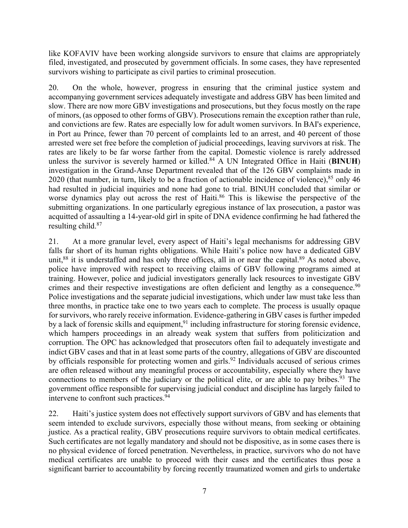like KOFAVIV have been working alongside survivors to ensure that claims are appropriately filed, investigated, and prosecuted by government officials. In some cases, they have represented survivors wishing to participate as civil parties to criminal prosecution.

20. On the whole, however, progress in ensuring that the criminal justice system and accompanying government services adequately investigate and address GBV has been limited and slow. There are now more GBV investigations and prosecutions, but they focus mostly on the rape of minors, (as opposed to other forms of GBV). Prosecutions remain the exception rather than rule, and convictions are few. Rates are especially low for adult women survivors. In BAI's experience, in Port au Prince, fewer than 70 percent of complaints led to an arrest, and 40 percent of those arrested were set free before the completion of judicial proceedings, leaving survivors at risk. The rates are likely to be far worse farther from the capital. Domestic violence is rarely addressed unless the survivor is severely harmed or killed.84 A UN Integrated Office in Haiti (**BINUH**) investigation in the Grand-Anse Department revealed that of the 126 GBV complaints made in 2020 (that number, in turn, likely to be a fraction of actionable incidence of violence),  $85$  only 46 had resulted in judicial inquiries and none had gone to trial. BINUH concluded that similar or worse dynamics play out across the rest of Haiti.<sup>86</sup> This is likewise the perspective of the submitting organizations. In one particularly egregious instance of lax prosecution, a pastor was acquitted of assaulting a 14-year-old girl in spite of DNA evidence confirming he had fathered the resulting child.<sup>87</sup>

21. At a more granular level, every aspect of Haiti's legal mechanisms for addressing GBV falls far short of its human rights obligations. While Haiti's police now have a dedicated GBV unit, $88$  it is understaffed and has only three offices, all in or near the capital. $89$  As noted above, police have improved with respect to receiving claims of GBV following programs aimed at training. However, police and judicial investigators generally lack resources to investigate GBV crimes and their respective investigations are often deficient and lengthy as a consequence.<sup>90</sup> Police investigations and the separate judicial investigations, which under law must take less than three months, in practice take one to two years each to complete. The process is usually opaque for survivors, who rarely receive information. Evidence-gathering in GBV cases is further impeded by a lack of forensic skills and equipment,<sup>91</sup> including infrastructure for storing forensic evidence, which hampers proceedings in an already weak system that suffers from politicization and corruption. The OPC has acknowledged that prosecutors often fail to adequately investigate and indict GBV cases and that in at least some parts of the country, allegations of GBV are discounted by officials responsible for protecting women and girls.<sup>92</sup> Individuals accused of serious crimes are often released without any meaningful process or accountability, especially where they have connections to members of the judiciary or the political elite, or are able to pay bribes.<sup>93</sup> The government office responsible for supervising judicial conduct and discipline has largely failed to intervene to confront such practices.<sup>94</sup>

22. Haiti's justice system does not effectively support survivors of GBV and has elements that seem intended to exclude survivors, especially those without means, from seeking or obtaining justice. As a practical reality, GBV prosecutions require survivors to obtain medical certificates. Such certificates are not legally mandatory and should not be dispositive, as in some cases there is no physical evidence of forced penetration. Nevertheless, in practice, survivors who do not have medical certificates are unable to proceed with their cases and the certificates thus pose a significant barrier to accountability by forcing recently traumatized women and girls to undertake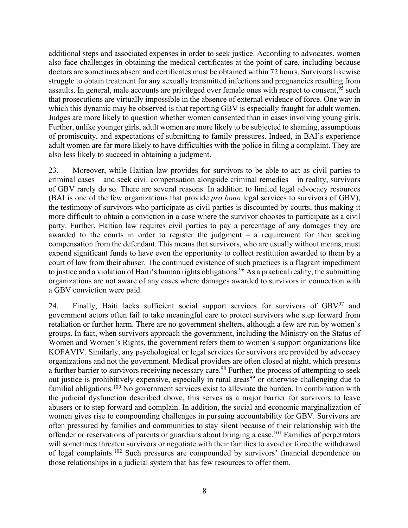additional steps and associated expenses in order to seek justice. According to advocates, women also face challenges in obtaining the medical certificates at the point of care, including because doctors are sometimes absent and certificates must be obtained within 72 hours. Survivors likewise struggle to obtain treatment for any sexually transmitted infections and pregnancies resulting from assaults. In general, male accounts are privileged over female ones with respect to consent,<sup>95</sup> such that prosecutions are virtually impossible in the absence of external evidence of force. One way in which this dynamic may be observed is that reporting GBV is especially fraught for adult women. Judges are more likely to question whether women consented than in cases involving young girls. Further, unlike younger girls, adult women are more likely to be subjected to shaming, assumptions of promiscuity, and expectations of submitting to family pressures. Indeed, in BAI's experience adult women are far more likely to have difficulties with the police in filing a complaint. They are also less likely to succeed in obtaining a judgment.

23. Moreover, while Haitian law provides for survivors to be able to act as civil parties to criminal cases – and seek civil compensation alongside criminal remedies – in reality, survivors of GBV rarely do so. There are several reasons. In addition to limited legal advocacy resources (BAI is one of the few organizations that provide *pro bono* legal services to survivors of GBV), the testimony of survivors who participate as civil parties is discounted by courts, thus making it more difficult to obtain a conviction in a case where the survivor chooses to participate as a civil party. Further, Haitian law requires civil parties to pay a percentage of any damages they are awarded to the courts in order to register the judgment – a requirement for then seeking compensation from the defendant. This means that survivors, who are usually without means, must expend significant funds to have even the opportunity to collect restitution awarded to them by a court of law from their abuser. The continued existence of such practices is a flagrant impediment to justice and a violation of Haiti's human rights obligations.<sup>96</sup> As a practical reality, the submitting organizations are not aware of any cases where damages awarded to survivors in connection with a GBV conviction were paid.

24. Finally, Haiti lacks sufficient social support services for survivors of  $GBV<sup>97</sup>$  and government actors often fail to take meaningful care to protect survivors who step forward from retaliation or further harm. There are no government shelters, although a few are run by women's groups. In fact, when survivors approach the government, including the Ministry on the Status of Women and Women's Rights, the government refers them to women's support organizations like KOFAVIV. Similarly, any psychological or legal services for survivors are provided by advocacy organizations and not the government. Medical providers are often closed at night, which presents a further barrier to survivors receiving necessary care.<sup>98</sup> Further, the process of attempting to seek out justice is prohibitively expensive, especially in rural areas<sup>99</sup> or otherwise challenging due to familial obligations.100 No government services exist to alleviate the burden. In combination with the judicial dysfunction described above, this serves as a major barrier for survivors to leave abusers or to step forward and complain. In addition, the social and economic marginalization of women gives rise to compounding challenges in pursuing accountability for GBV. Survivors are often pressured by families and communities to stay silent because of their relationship with the offender or reservations of parents or guardians about bringing a case.<sup>101</sup> Families of perpetrators will sometimes threaten survivors or negotiate with their families to avoid or force the withdrawal of legal complaints.102 Such pressures are compounded by survivors' financial dependence on those relationships in a judicial system that has few resources to offer them.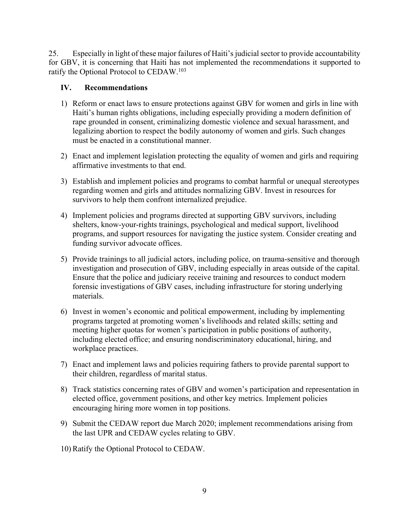25. Especially in light of these major failures of Haiti's judicial sector to provide accountability for GBV, it is concerning that Haiti has not implemented the recommendations it supported to ratify the Optional Protocol to CEDAW.<sup>103</sup>

## **IV. Recommendations**

- 1) Reform or enact laws to ensure protections against GBV for women and girls in line with Haiti's human rights obligations, including especially providing a modern definition of rape grounded in consent, criminalizing domestic violence and sexual harassment, and legalizing abortion to respect the bodily autonomy of women and girls. Such changes must be enacted in a constitutional manner.
- 2) Enact and implement legislation protecting the equality of women and girls and requiring affirmative investments to that end.
- 3) Establish and implement policies and programs to combat harmful or unequal stereotypes regarding women and girls and attitudes normalizing GBV. Invest in resources for survivors to help them confront internalized prejudice.
- 4) Implement policies and programs directed at supporting GBV survivors, including shelters, know-your-rights trainings, psychological and medical support, livelihood programs, and support resources for navigating the justice system. Consider creating and funding survivor advocate offices.
- 5) Provide trainings to all judicial actors, including police, on trauma-sensitive and thorough investigation and prosecution of GBV, including especially in areas outside of the capital. Ensure that the police and judiciary receive training and resources to conduct modern forensic investigations of GBV cases, including infrastructure for storing underlying materials.
- 6) Invest in women's economic and political empowerment, including by implementing programs targeted at promoting women's livelihoods and related skills; setting and meeting higher quotas for women's participation in public positions of authority, including elected office; and ensuring nondiscriminatory educational, hiring, and workplace practices.
- 7) Enact and implement laws and policies requiring fathers to provide parental support to their children, regardless of marital status.
- 8) Track statistics concerning rates of GBV and women's participation and representation in elected office, government positions, and other key metrics. Implement policies encouraging hiring more women in top positions.
- 9) Submit the CEDAW report due March 2020; implement recommendations arising from the last UPR and CEDAW cycles relating to GBV.
- 10) Ratify the Optional Protocol to CEDAW.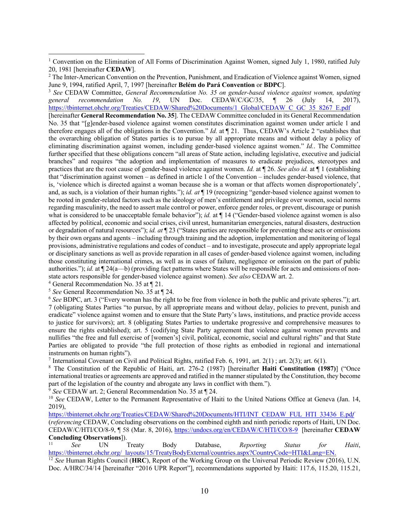<sup>3</sup> *See* CEDAW Committee, *General Recommendation No. 35 on gender-based violence against women, updating general recommendation No. 19*, UN Doc. CEDAW/C/GC/35, ¶ 26 (July 14, 2017), https://tbinternet.ohchr.org/Treaties/CEDAW/Shared%20Documents/1\_Global/CEDAW\_C\_GC\_35\_8267\_E.pdf [hereinafter **General Recommendation No. 35**]. The CEDAW Committee concluded in its General Recommendation No. 35 that "[g]ender-based violence against women constitutes discrimination against women under article 1 and therefore engages all of the obligations in the Convention." *Id.* at ¶ 21. Thus, CEDAW's Article 2 "establishes that the overarching obligation of States parties is to pursue by all appropriate means and without delay a policy of eliminating discrimination against women, including gender-based violence against women." *Id.*. The Committee further specified that these obligations concern "all areas of State action, including legislative, executive and judicial branches" and requires "the adoption and implementation of measures to eradicate prejudices, stereotypes and practices that are the root cause of gender-based violence against women. *Id.* at ¶ 26. *See also id.* at ¶ 1 (establishing that "discrimination against women – as defined in article 1 of the Convention – includes gender-based violence, that is, 'violence which is directed against a woman because she is a woman or that affects women disproportionately', and, as such, is a violation of their human rights."); *id. at* ¶ 19 (recognizing "gender-based violence against women to be rooted in gender-related factors such as the ideology of men's entitlement and privilege over women, social norms regarding masculinity, the need to assert male control or power, enforce gender roles, or prevent, discourage or punish what is considered to be unacceptable female behavior"); *id.* at  $\P$  14 ("Gender-based violence against women is also affected by political, economic and social crises, civil unrest, humanitarian emergencies, natural disasters, destruction or degradation of natural resources"); *id. at* ¶ 23 ("States parties are responsible for preventing these acts or omissions by their own organs and agents – including through training and the adoption, implementation and monitoring of legal provisions, administrative regulations and codes of conduct – and to investigate, prosecute and apply appropriate legal or disciplinary sanctions as well as provide reparation in all cases of gender-based violence against women, including those constituting international crimes, as well as in cases of failure, negligence or omission on the part of public authorities."); *id.* at ¶ 24(a—b) (providing fact patterns where States will be responsible for acts and omissions of nonstate actors responsible for gender-based violence against women). *See also* CEDAW art. 2.

<sup>4</sup> General Recommendation No. 35 at ¶ 21.

<sup>5</sup> *See* General Recommendation No. 35 at ¶ 24.

<sup>6</sup> *See* BDPC, art. 3 ("Every woman has the right to be free from violence in both the public and private spheres."); art. 7 (obligating States Parties "to pursue, by all appropriate means and without delay, policies to prevent, punish and eradicate" violence against women and to ensure that the State Party's laws, institutions, and practice provide access to justice for survivors); art. 8 (obligating States Parties to undertake progressive and comprehensive measures to ensure the rights established); art. 5 (codifying State Party agreement that violence against women prevents and nullifies "the free and full exercise of [women's] civil, political, economic, social and cultural rights" and that State Parties are obligated to provide "the full protection of those rights as embodied in regional and international instruments on human rights").

<sup>7</sup> International Covenant on Civil and Political Rights, ratified Feb. 6, 1991, art. 2(1); art. 2(3); art. 6(1).

<sup>8</sup> The Constitution of the Republic of Haiti, art. 276-2 (1987) [hereinafter **Haiti Constitution (1987)**] ("Once international treaties or agreements are approved and ratified in the manner stipulated by the Constitution, they become part of the legislation of the country and abrogate any laws in conflict with them.").

<sup>9</sup> *See* CEDAW art. 2; General Recommendation No. 35 at ¶ 24.

<sup>10</sup> *See* CEDAW, Letter to the Permanent Representative of Haiti to the United Nations Office at Geneva (Jan. 14, 2019),

https://tbinternet.ohchr.org/Treaties/CEDAW/Shared%20Documents/HTI/INT\_CEDAW\_FUL\_HTI\_33436\_E.pd*f* (*referencing* CEDAW, Concluding observations on the combined eighth and ninth periodic reports of Haiti, UN Doc. CEDAW/C/HTI/CO/8-9, ¶ 58 (Mar. 8, 2016), https://undocs.org/en/CEDAW/C/HTI/CO/8-9 [hereinafter **CEDAW Concluding Observations**]).<br>
<sup>11</sup> *See* UN Treaty Body Database, *Reporting Status for Haiti*,

https://tbinternet.ohchr.org/\_layouts/15/TreatyBodyExternal/countries.aspx?CountryCode=HTI&Lang=EN.

<sup>12</sup> *See* Human Rights Council (**HRC**), Report of the Working Group on the Universal Periodic Review (2016), U.N. Doc. A/HRC/34/14 [hereinafter "2016 UPR Report"], recommendations supported by Haiti: 117.6, 115.20, 115.21,

<sup>&</sup>lt;sup>1</sup> Convention on the Elimination of All Forms of Discrimination Against Women, signed July 1, 1980, ratified July 20, 1981 [hereinafter **CEDAW**].

<sup>&</sup>lt;sup>2</sup> The Inter-American Convention on the Prevention, Punishment, and Eradication of Violence against Women, signed June 9, 1994, ratified April, 7, 1997 [hereinafter **Belém do Pará Convention** or **BDPC**].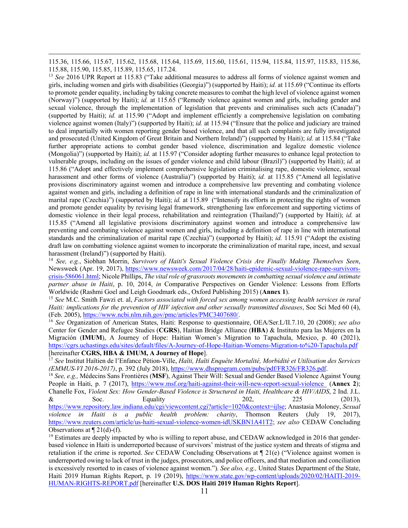115.36, 115.66, 115.67, 115.62, 115.68, 115.64, 115.69, 115.60, 115.61, 115.94, 115.84, 115.97, 115.83, 115.86, 115.88, 115.90, 115.85, 115.89, 115.65, 117.24.

<sup>13</sup> *See* 2016 UPR Report at 115.83 ("Take additional measures to address all forms of violence against women and girls, including women and girls with disabilities (Georgia)") (supported by Haiti); *id.* at 115.69 ("Continue its efforts to promote gender equality, including by taking concrete measures to combat the high level of violence against women (Norway)") (supported by Haiti); *id.* at 115.65 ("Remedy violence against women and girls, including gender and sexual violence, through the implementation of legislation that prevents and criminalises such acts (Canada)") (supported by Haiti); *id.* at 115.90 ("Adopt and implement efficiently a comprehensive legislation on combating violence against women (Italy)") (supported by Haiti); *id.* at 115.94 ("Ensure that the police and judiciary are trained to deal impartially with women reporting gender based violence, and that all such complaints are fully investigated and prosecuted (United Kingdom of Great Britain and Northern Ireland)") (supported by Haiti); *id.* at 115.84 ("Take further appropriate actions to combat gender based violence, discrimination and legalize domestic violence (Mongolia)") (supported by Haiti); *id.* at 115.97 ("Consider adopting further measures to enhance legal protection to vulnerable groups, including on the issues of gender violence and child labour (Brazil)") (supported by Haiti); *id.* at 115.86 ("Adopt and effectively implement comprehensive legislation criminalising rape, domestic violence, sexual harassment and other forms of violence (Australia)") (supported by Haiti); *id.* at 115.85 ("Amend all legislative provisions discriminatory against women and introduce a comprehensive law preventing and combating violence against women and girls, including a definition of rape in line with international standards and the criminalization of marital rape (Czechia)") (supported by Haiti); *id.* at 115.89 ("Intensify its efforts in protecting the rights of women and promote gender equality by revising legal framework, strengthening law enforcement and supporting victims of domestic violence in their legal process, rehabilitation and reintegration (Thailand)") (supported by Haiti); *id.* at 115.85 ("Amend all legislative provisions discriminatory against women and introduce a comprehensive law preventing and combating violence against women and girls, including a definition of rape in line with international standards and the criminalization of marital rape (Czechia)") (supported by Haiti); *id.* 115.91 ("Adopt the existing draft law on combatting violence against women to incorporate the criminalization of marital rape, incest, and sexual harassment (Ireland)") (supported by Haiti).

<sup>14</sup> *See, e.g.*, Siobhan Morrin, *Survivors of Haiti's Sexual Violence Crisis Are Finally Making Themselves Seen*, Newsweek (Apr. 19, 2017), https://www.newsweek.com/2017/04/28/haiti-epidemic-sexual-violence-rape-survivorscrisis-586061.html; Nicole Phillips, *The vital role of grassroots movements in combatting sexual violence and intimate partner abuse in Haiti*, p. 10, 2014, *in* Comparative Perspectives on Gender Violence: Lessons from Efforts Worldwide (Rashmi Goel and Leigh Goodmark eds., Oxford Publishing 2015) (**Annex 1**).

<sup>15</sup> *See* M.C. Smith Fawzi et. al, *Factors associated with forced sex among women accessing health services in rural Haiti: implications for the prevention of HIV infection and other sexually transmitted diseases*, Soc Sci Med 60 (4), (Feb. 2005), https://www.ncbi.nlm.nih.gov/pmc/articles/PMC3407680/. 16 *See* Organization of American States, Haiti: Response to questionnaire, OEA/Ser.L/II.7.10, 20 (2008); *see also* 

Center for Gender and Refugee Studies (**CGRS**), Haitian Bridge Alliance (**HBA**) & Instituto para las Mujeres en la Migración (**IMUM**), A Journey of Hope: Haitian Women's Migration to Tapachula, Mexico, p. 40 (2021), https://cgrs.uchastings.edu/sites/default/files/A-Journey-of-Hope-Haitian-Womens-Migration-to%20-Tapachula.pdf [hereinafter **CGRS, HBA & IMUM, A Journey of Hope**].

<sup>17</sup> *See* Institut Haïtien de l'Enfance Pétion-Ville, *Haïti, Haïti Enquête Mortalité, Morbidité et Utilisation des Services*  (EMMUS-VI 2016-2017), p. 392 (July 2018), *https://www.dhsprogram.com/pubs/pdf/FR326/FR326.pdf.*<br><sup>18</sup> See, e.g., Médecins Sans Frontières (MSF), Against Their Will: Sexual and Gender Based Violence Against Young

People in Haiti, p. 7 (2017), https://www.msf.org/haiti-against-their-will-new-report-sexual-violence (**Annex 2**); Chanelle Fox, *Violent Sex: How Gender-Based Violence is Structured in Haiti, Healthcare & HIV/AIDS*, 2 Ind. J.L.  $\&$  Soc. Equality 202, 225 (2013), https://www.repository.law.indiana.edu/cgi/viewcontent.cgi?article=1020&context=ijlse; Anastasia Moloney, *Sexual violence in Haiti is a public health problem: charity*, Thomson Reuters (July 19, 2017), https://www.reuters.com/article/us-haiti-sexual-violence-women-idUSKBN1A41T2; *see also* CEDAW Concluding Observations at  $\P$  21(d)-(f).<br><sup>19</sup> Estimates are deeply impacted by who is willing to report abuse, and CEDAW acknowledged in 2016 that gender-

based violence in Haiti is underreported because of survivors' mistrust of the justice system and threats of stigma and retaliation if the crime is reported. *See* CEDAW Concluding Observations at ¶ 21(e) ("Violence against women is underreported owing to lack of trust in the judges, prosecutors, and police officers, and that mediation and conciliation is excessively resorted to in cases of violence against women.")*. See also, e.g.,* United States Department of the State, Haiti 2019 Human Rights Report, p. 19 (2019), https://www.state.gov/wp-content/uploads/2020/02/HAITI-2019- HUMAN-RIGHTS-REPORT.pdf [hereinafter **U.S. DOS Haiti 2019 Human Rights Report**].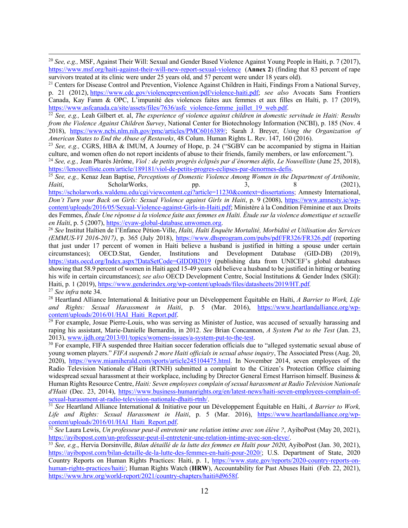<sup>20</sup> *See, e.g.,* MSF, Against Their Will: Sexual and Gender Based Violence Against Young People in Haiti, p. 7 (2017), https://www.msf.org/haiti-against-their-will-new-report-sexual-violence (**Annex 2**) (finding that 83 percent of rape survivors treated at its clinic were under 25 years old, and 57 percent were under 18 years old).

<sup>21</sup> Centers for Disease Control and Prevention, Violence Against Children in Haiti, Findings From a National Survey, p. 21 (2012), https://www.cdc.gov/violenceprevention/pdf/violence-haiti.pdf; *see also* Avocats Sans Frontiers Canada, Kay Fanm & OPC, L'impunité des violences faites aux femmes et aux filles en Haïti, p. 17 (2019), https://www.asfcanada.ca/site/assets/files/7636/asfc violence-femme juillet 19 web.pdf.

<sup>22</sup> See, e.g., Leah Gilbert et. al, *The experience of violence against children in domestic servitude in Haiti: Results from the Violence Against Children Survey*, National Center for Biotechnology Information (NCBI), p. 185 (Nov. 4 2018), https://www.ncbi.nlm.nih.gov/pmc/articles/PMC6016389/; Sarah J. Breyer, *Using the Organization of American States to End the Abuse of Restaveks*, 48 Colum. Human Rights L. Rev. 147, 160 (2016).

<sup>23</sup> *See, e.g.,* CGRS, HBA & IMUM, A Journey of Hope, p. 24 ("SGBV can be accompanied by stigma in Haitian culture, and women often do not report incidents of abuse to their friends, family members, or law enforcement.").

<sup>24</sup> *See, e.g.,* Jean Pharès Jérôme, *Viol : de petits progrès éclipsés par d'énormes défis, Le Nouvelliste* (June 25, 2018), https://lenouvelliste.com/article/189181/viol-de-petits-progres-eclipses-par-denormes-defis. 25 *See, e.g.,* Kenaz Jean Baptise, *Perceptions of Domestic Violence Among Women in the Department of Artibonite,* 

*Haiti*, ScholarWorks, pp. 3, 8 (2021), https://scholarworks.waldenu.edu/cgi/viewcontent.cgi?article=11230&context=dissertations; Amnesty International,

*Don't Turn your Back on Girls: Sexual Violence against Girls in Haiti*, p. 9 (2008), https://www.amnesty.ie/wpcontent/uploads/2016/05/Sexual-Violence-against-Girls-in-Haiti.pdf; Ministère à la Condition Féminine et aux Droits des Femmes, *Étude Une réponse à la violence faite aux femmes en Haïti. Étude sur la violence domestique et sexuelle en Haïti*, p. 5 (2007), https://evaw-global-database.unwomen.org.

<sup>26</sup> *See* Institut Haïtien de l'Enfance Pétion-Ville, *Haïti, Haïti Enquête Mortalité, Morbidité et Utilisation des Services (EMMUS-VI 2016-2017)*, p. 365 (July 2018), https://www.dhsprogram.com/pubs/pdf/FR326/FR326.pdf (reporting that just under 17 percent of women in Haiti believe a husband is justified in hitting a spouse under certain circumstances); OECD.Stat, Gender, Institutions and Development Database (GID-DB) (2019), https://stats.oecd.org/Index.aspx?DataSetCode=GIDDB2019 (publishing data from UNICEF's global databases showing that 58.9 percent of women in Haiti aged 15-49 years old believe a husband to be justified in hitting or beating his wife in certain circumstances); *see also* OECD Development Centre, Social Institutions & Gender Index (SIGI): Haiti, p. 1 (2019), https://www.genderindex.org/wp-content/uploads/files/datasheets/2019/HT.pdf*.*

<sup>27</sup> *See infra* note 34.

<sup>28</sup> Heartland Alliance International & Initiative pour un Développement Équitable en Haïti, *A Barrier to Work, Life and Rights: Sexual Harassment in Haiti*, p. 5 (Mar. 2016), https://www.heartlandalliance.org/wp-

content/uploads/2016/01/HAI\_Haiti\_Report.pdf. 29 For example, Josue Pierre-Louis, who was serving as Minister of Justice, was accused of sexually harassing and raping his assistant, Marie-Danielle Bernardin, in 2012. *See* Brian Concannon, *A System Put to the Test* (Jan. 23, 2013), www.ijdh.org/2013/01/topics/womens-issues/a-system-put-to-the-test.

<sup>30</sup> For example, FIFA suspended three Haitian soccer federation officials due to "alleged systematic sexual abuse of young women players." *FIFA suspends 2 more Haiti officials in sexual abuse inquiry*, The Associated Press (Aug. 20, 2020), https://www.miamiherald.com/sports/article245104475.html. In November 2014, seven employees of the Radio Television Nationale d'Haiti (RTNH) submitted a complaint to the Citizen's Protection Office claiming widespread sexual harassment at their workplace, including by Director General Ernest Harrison himself. Business & Human Rights Resource Centre, *Haiti: Seven employees complain of sexual harassment at Radio Television Nationale d'Haiti* (Dec. 23, 2014), https://www.business-humanrights.org/en/latest-news/haiti-seven-employees-complain-ofsexual-harassment-at-radio-television-nationale-dhaiti-rtnh/.

<sup>31</sup> *See* Heartland Alliance International & Initiative pour un Développement Équitable en Haïti, *A Barrier to Work, Life and Rights: Sexual Harassment in Haiti*, p. 5 (Mar. 2016), https://www.heartlandalliance.org/wpcontent/uploads/2016/01/HAI\_Haiti\_Report.pdf.

<sup>32</sup> See Laura Lewis, *Un professeur peut-il entretenir une relation intime avec son élève ?*, AyiboPost (May 20, 2021), https://ayibopost.com/un-professeur-peut-il-entretenir-une-relation-intime-avec-son-eleve/.

<sup>33</sup> See, e.g., Hervia Dorsinville, *Bilan détaillé de la lutte des femmes en Haïti pour 2020*, AyiboPost (Jan. 30, 2021), https://ayibopost.com/bilan-detaille-de-la-lutte-des-femmes-en-haiti-pour-2020/; U.S. Department of State, 2020 Country Reports on Human Rights Practices: Haiti, p. 1, https://www.state.gov/reports/2020-country-reports-onhuman-rights-practices/haiti/; Human Rights Watch (**HRW**), Accountability for Past Abuses Haiti (Feb. 22, 2021), https://www.hrw.org/world-report/2021/country-chapters/haiti#d9658f.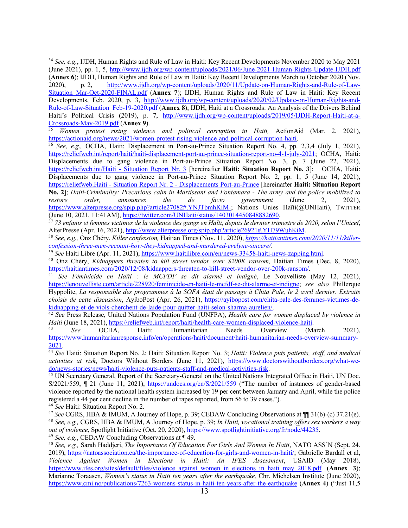<sup>34</sup> *See, e.g.*, IJDH, Human Rights and Rule of Law in Haiti: Key Recent Developments November 2020 to May 2021 (June 2021), pp. 1, 5, http://www.ijdh.org/wp-content/uploads/2021/06/June-2021-Human-Rights-Update-IJDH.pdf (**Annex 6**); IJDH, Human Rights and Rule of Law in Haiti: Key Recent Developments March to October 2020 (Nov. 2020), p. 2, http://www.ijdh.org/wp-content/uploads/2020/11/Update-on-Human-Rights-and-Rule-of-Law-Situation\_Mar-Oct-2020-FINAL.pdf (**Annex 7**); IJDH, Human Rights and Rule of Law in Haiti: Key Recent Developments, Feb. 2020, p. 3, http://www.ijdh.org/wp-content/uploads/2020/02/Update-on-Human-Rights-and-Rule-of-Law-Situation\_Feb-19-2020.pdf (**Annex 8**); IJDH, Haiti at a Crossroads: An Analysis of the Drivers Behind Haiti's Political Crisis (2019), p. 7, http://www.ijdh.org/wp-content/uploads/2019/05/IJDH-Report-Haiti-at-a-Crossroads-May-2019.pdf (**Annex 9**).

<sup>35</sup> *Women protest rising violence and political corruption in Haiti,* ActionAid (Mar. 2, 2021), https://actionaid.org/news/2021/women-protest-rising-violence-and-political-corruption-haiti.

<sup>36</sup> *See, e.g.,* OCHA, Haiti: Displacement in Port-au-Prince Situation Report No. 4, pp. 2,3,4 (July 1, 2021), https://reliefweb.int/report/haiti/haiti-displacement-port-au-prince-situation-report-no-4-1-july-2021; OCHA, Haiti: Displacements due to gang violence in Port-au-Prince Situation Report No. 3, p. 7 (June 22, 2021), https://reliefweb.int/Haiti - Situation Report Nr. 3 [hereinafter **Haiti: Situation Report No. 3**]; OCHA, Haiti: Displacements due to gang violence in Port-au-Prince Situation Report No. 2, pp. 1, 5 (June 14, 2021), https://reliefweb.Haiti - Situation Report Nr. 2 - Displacements Port-au-Prince [hereinafter **Haiti: Situation Report No. 2**]; *Haiti-Criminality: Precarious calm in Martissant and Fontamara - The army and the police mobilized to restore order, announces the de facto government* (June 2, 2021), https://www.alterpresse.org/spip.php?article27082#.YNJTbmhKiM-; Nations Unies Haïti(@UNHaiti), TWITTER (June 10, 2021, 11:41AM), https://twitter.com/UNHaiti/status/1403014450848882690. 37 *73 enfants et femmes victimes de la violence des gangs en Haïti, depuis le dernier trimestre de 2020, selon l'Unicef*,

AlterPresse (Apr. 16, 2021), http://www.alterpresse.org/spip.php?article26921#.YH79WuhKiM.<br><sup>38</sup> See, e.g., Onz Chéry, Killer confession, Haitian Times (Nov. 11. 2020), https://haitiantimes.com/2020/11/11/killer-

*confession-three-men-recount-how-they-kidnapped-and-murdered-evelyne-sincere/*.

<sup>40</sup> Onz Chéry, *Kidnappers threaten to kill street vendor over \$200K ransom*, Haitian Times (Dec. 8, 2020), https://haitiantimes.com/2020/12/08/kidnappers-threaten-to-kill-street-vendor-over-200k-ransom/.

<sup>41</sup> See Féminicide en Haïti : le MCFDF se dit alarmé et indigné, Le Nouvelliste (May 12, 2021), https://lenouvelliste.com/article/228920/feminicide-en-haiti-le-mcfdf-se-dit-alarme-et-indigne; *see also* Phillerque Hyppolite, *La responsable des programmes à la SOFA était de passage à Chita Pale, le 2 avril dernier. Extraits choisis de cette discussion*, AyiboPost (Apr. 26, 2021), https://ayibopost.com/chita-pale-des-femmes-victimes-dekidnapping-et-de-viols-cherchent-de-laide-pour-quitter-haiti-selon-sharma-aurelien/. 42 *See* Press Release, United Nations Population Fund (UNFPA), *Health care for women displaced by violence in* 

*Haiti* (June 18, 2021), <u>https://reliefweb.int/report/haiti/health-care-women-displaced-violence-haiti.<br><sup>43</sup> *See* OCHA, Haiti: Humanitarian Needs Overview (March 2021),</u>

https://www.humanitarianresponse.info/en/operations/haiti/document/haiti-humanitarian-needs-overview-summary-2021.

<sup>44</sup> *See* Haiti: Situation Report No. 2; Haiti: Situation Report No. 3; *Haiti: Violence puts patients, staff, and medical activities at risk*, Doctors Without Borders (June 11, 2021), https://www.doctorswithoutborders.org/what-wedo/news-stories/news/haiti-violence-puts-patients-staff-and-medical-activities-risk. 45 UN Secretary General, Report of the Secretary-General on the United Nations Integrated Office in Haiti, UN Doc.

S/2021/559, ¶ 21 (June 11, 2021), https://undocs.org/en/S/2021/559 ("The number of instances of gender-based violence reported by the national health system increased by 19 per cent between January and April, while the police registered a 44 per cent decline in the number of rapes reported, from 56 to 39 cases.").

<sup>46</sup> *See* Haiti: Situation Report No. 2.

 *See* CGRS, HBA & IMUM, A Journey of Hope, p. 39; CEDAW Concluding Observations at ¶¶ 31(b)-(c) 37.21(e). *See, e.g.,* CGRS, HBA & IMUM, A Journey of Hope, p. 39; *In Haiti, vocational training offers sex workers a way out of violence*, Spotlight Initiative (Oct. 20, 2020), https://www.spotlightinitiative.org/fr/node/44235. *See, e.g.*, CEDAW Concluding Observations at ¶ 49.

<sup>50</sup> *See, e.g.,* Sarah Haddjeri, *The Importance Of Education For Girls And Women In Haiti*, NATO ASS'N (Sept. 24. 2019), https://natoassociation.ca/the-importance-of-education-for-girls-and-women-in-haiti/; Gabrielle Bardall et al, *Violence Against Women in Elections in Haiti: An IFES Assessment*, USAID (May 2018), https://www.ifes.org/sites/default/files/violence\_against\_women\_in\_elections\_in\_haiti\_may\_2018.pdf (**Annex 3**); Marianne Tøraasen, *Women's status in Haiti ten years after the earthquake,* Chr. Michelsen Institute (June 2020), https://www.cmi.no/publications/7263-womens-status-in-haiti-ten-years-after-the-earthquake (**Annex 4**) ("Just 11,5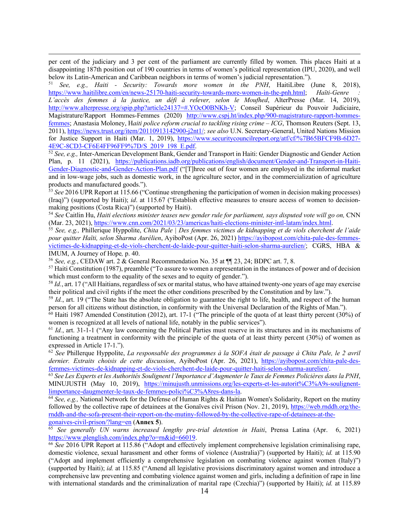per cent of the judiciary and 3 per cent of the parliament are currently filled by women. This places Haiti at a disappointing 187th position out of 190 countries in terms of women's political representation (IPU, 2020), and well below its Latin-American and Caribbean neighbors in terms of women's judicial representation.").

<sup>51</sup> *See, e.g., Haiti - Security: Towards more women in the PNH*, HaitiLibre (June 8, 2018), https://www.haitilibre.com/en/news-25170-haiti-security-towards-more-women-in-the-pnh.html; *Haïti-Genre : L'accès des femmes à la justice, un défi à relever, selon le Moufhed*, AlterPresse (Mar. 14, 2019), http://www.alterpresse.org/spip.php?article24137=#.YOcO0BNKh-V; Conseil Supérieur du Pouvoir Judiciaire, Magistrature/Rapport Hommes-Femmes (2020) http://www.cspj.ht/index.php/900-magistrature-rapport-hommesfemmes; Anastasia Moloney, H*aiti police reform crucial to tackling rising crime – ICG*, Thomson Reuters (Sept. 13, 2011), https://news.trust.org/item/20110913142900-j2nt1/; *see also* U.N. Secretary-General, United Nations Mission for Justice Support in Haiti (Mar. 1, 2019), https://www.securitycouncilreport.org/atf/cf/%7B65BFCF9B-6D27- 4E9C-8CD3-CF6E4FF96FF9%7D/S\_2019\_198\_E.pdf.

<sup>52</sup> *See, e.g.,* Inter-American Development Bank, Gender and Transport in Haiti: Gender Diagnostic and Gender Action Plan, p. 11 (2021), https://publications.iadb.org/publications/english/document/Gender-and-Transport-in-Haiti-Gender-Diagnostic-and-Gender-Action-Plan.pdf ("[T]hree out of four women are employed in the informal market and in low-wage jobs, such as domestic work, in the agriculture sector, and in the commercialization of agriculture products and manufactured goods.").

<sup>53</sup> See 2016 UPR Report at 115.66 ("Continue strengthening the participation of women in decision making processes) (Iraq)") (supported by Haiti); *id*. at 115.67 ("Establish effective measures to ensure access of women to decisionmaking positions (Costa Rica)") (supported by Haiti).

<sup>54</sup> *See* Caitlin Hu, *Haiti elections minister teases new gender rule for parliament, says disputed vote will go on,* CNN (Mar. 23, 2021), https://www.cnn.com/2021/03/23/americas/haiti-elections-minister-intl-latam/index.html.

<sup>55</sup> *See, e.g.,* Phillerique Hyppolite, *Chita Pale | Des femmes victimes de kidnapping et de viols cherchent de l'aide pour quitter Haïti, selon Sharma Aurélien*, AyiboPost (Apr. 26, 2021) https://ayibopost.com/chita-pale-des-femmesvictimes-de-kidnapping-et-de-viols-cherchent-de-laide-pour-quitter-haiti-selon-sharma-aurelien/; CGRS, HBA & IMUM, A Journey of Hope*,* p. 40.

<sup>56</sup> *See, e.g.*, CEDAW art. 2 & General Recommendation No. 35 at ¶¶ 23, 24; BDPC art. 7, 8. 57 Haiti Constitution (1987), preamble ("To assure to women a representation in the instances of power and of decision which must conform to the equality of the sexes and to equity of gender.").

<sup>58</sup> *Id.*, art. 17 ("All Haitians, regardless of sex or marital status, who have attained twenty-one years of age may exercise their political and civil rights if the meet the other conditions prescribed by the Constitution and by law.").

<sup>59</sup> *Id.*, art. 19 ("The State has the absolute obligation to guarantee the right to life, health, and respect of the human person for all citizens without distinction, in conformity with the Universal Declaration of the Rights of Man.").

<sup>60</sup> Haiti 1987 Amended Constitution (2012), art. 17-1 ("The principle of the quota of at least thirty percent (30%) of women is recognized at all levels of national life, notably in the public services").

<sup>61</sup> *Id.*, art. 31-1-1 ("Any law concerning the Political Parties must reserve in its structures and in its mechanisms of functioning a treatment in conformity with the principle of the quota of at least thirty percent (30%) of women as expressed in Article 17-1.").

<sup>62</sup> *See* Phillerque Hyppolite, *La responsable des programmes à la SOFA était de passage à Chita Pale, le 2 avril dernier. Extraits choisis de cette discussion*, AyiboPost (Apr. 26, 2021), https://ayibopost.com/chita-pale-desfemmes-victimes-de-kidnapping-et-de-viols-cherchent-de-laide-pour-quitter-haiti-selon-sharma-aurelien/.<br><sup>63</sup> See Les Experts et les Authorités Soulignent l'Importance d'Augmenter le Taux de Femmes Policières dans la PNH,

MINUJUSTH (May 10, 2019), https://minujusth.unmissions.org/les-experts-et-les-autorit%C3%A9s-soulignentlimportance-daugmenter-le-taux-de-femmes-polici%C3%A8res-dans-la. 64 *See, e.g.,* National Network for the Defense of Human Rights & Haitian Women's Solidarity, Report on the mutiny

followed by the collective rape of detainees at the Gonaïves civil Prison (Nov. 21, 2019), https://web.rnddh.org/thernddh-and-the-sofa-present-their-report-on-the-mutiny-followed-by-the-collective-rape-of-detainees-at-thegonaives-civil-prison/?lang=en (**Annex 5**).

<sup>65</sup> *See generally UN warns increased lengthy pre-trial detention in Haiti*, Prensa Latina (Apr. 6, 2021) https://www.plenglish.com/index.php?o=rn&id=66019.

<sup>66</sup> See 2016 UPR Report at 115.86 ("Adopt and effectively implement comprehensive legislation criminalising rape, domestic violence, sexual harassment and other forms of violence (Australia)") (supported by Haiti); *id.* at 115.90 ("Adopt and implement efficiently a comprehensive legislation on combating violence against women (Italy)") (supported by Haiti); *id.* at 115.85 ("Amend all legislative provisions discriminatory against women and introduce a comprehensive law preventing and combating violence against women and girls, including a definition of rape in line with international standards and the criminalization of marital rape (Czechia)") (supported by Haiti); *id.* at 115.89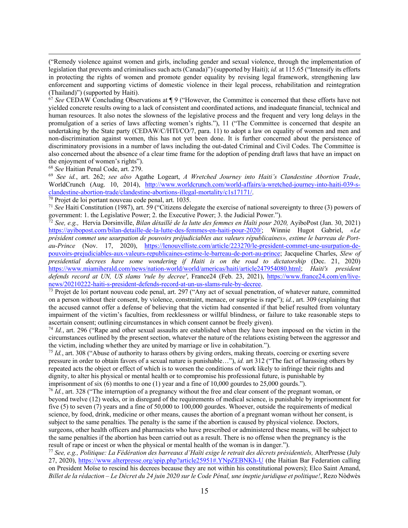("Remedy violence against women and girls, including gender and sexual violence, through the implementation of legislation that prevents and criminalises such acts (Canada)") (supported by Haiti); *id.* at 115.65 ("Intensify its efforts in protecting the rights of women and promote gender equality by revising legal framework, strengthening law enforcement and supporting victims of domestic violence in their legal process, rehabilitation and reintegration (Thailand)") (supported by Haiti). 67 *See* CEDAW Concluding Observations at ¶ 9 ("However, the Committee is concerned that these efforts have not

yielded concrete results owing to a lack of consistent and coordinated actions, and inadequate financial, technical and human resources. It also notes the slowness of the legislative process and the frequent and very long delays in the promulgation of a series of laws affecting women's rights."), 11 ("The Committee is concerned that despite an undertaking by the State party (CEDAW/C/HTI/CO/7, para. 11) to adopt a law on equality of women and men and non-discrimination against women, this has not yet been done. It is further concerned about the persistence of discriminatory provisions in a number of laws including the out-dated Criminal and Civil Codes. The Committee is also concerned about the absence of a clear time frame for the adoption of pending draft laws that have an impact on the enjoyment of women's rights").

<sup>68</sup> *See* Haitian Penal Code, art. 279.

<sup>69</sup> *See id.*, art. 262; *see also* Agathe Logeart, *A Wretched Journey into Haiti's Clandestine Abortion Trade*, WorldCrunch (Aug. 10, 2014), http://www.worldcrunch.com/world-affairs/a-wretched-journey-into-haiti-039-sclandestine-abortion-trade/clandestine-abortions-illegal-mortality/c1s17171/. 70 Projet de loi portant nouveau code penal, art. 1035.

<sup>71</sup> *See* Haiti Constitution (1987), art. 59 ("Citizens delegate the exercise of national sovereignty to three (3) powers of government: 1. the Legislative Power; 2. the Executive Power; 3. the Judicial Power.").

<sup>72</sup> *See, e.g.,* Hervia Dorsinville, *Bilan détaillé de la lutte des femmes en Haïti pour 2020,* AyiboPost (Jan. 30, 2021) https://ayibopost.com/bilan-detaille-de-la-lutte-des-femmes-en-haiti-pour-2020/; Winnie Hugot Gabriel, *«Le président commet une usurpation de pouvoirs préjudiciables aux valeurs républicaines», estime le barreau de Portau-Prince* (Nov. 17, 2020), https://lenouvelliste.com/article/223270/le-president-commet-une-usurpation-depouvoirs-prejudiciables-aux-valeurs-republicaines-estime-le-barreau-de-port-au-prince; Jacqueline Charles, *Slew of*  presidential decrees have some wondering if Haiti is on the road to dictatorship (Dec. 21, 2020) https://www.miamiherald.com/news/nation-world/world/americas/haiti/article247954080.html; *Haiti's president defends record at UN, US slams 'rule by decree'*, France24 (Feb. 23, 2021), https://www.france24.com/en/livenews/20210222-haiti-s-president-defends-record-at-un-us-slams-rule-by-decree.

<sup>73</sup> Projet de loi portant nouveau code penal, art. 297 ("Any act of sexual penetration, of whatever nature, committed on a person without their consent, by violence, constraint, menace, or surprise is rape"); *id.*, art. 309 (explaining that the accused cannot offer a defense of believing that the victim had consented if that belief resulted from voluntary impairment of the victim's faculties, from recklessness or willful blindness, or failure to take reasonable steps to ascertain consent; outlining circumstances in which consent cannot be freely given).

<sup>74</sup> *Id.*, art. 296 ("Rape and other sexual assaults are established when they have been imposed on the victim in the circumstances outlined by the present section, whatever the nature of the relations existing between the aggressor and the victim, including whether they are united by marriage or live in cohabitation.").

<sup>75</sup> *Id.*, art. 308 ("Abuse of authority to harass others by giving orders, making threats, coercing or exerting severe pressure in order to obtain favors of a sexual nature is punishable…"), *id.* art 312 ("The fact of harassing others by repeated acts the object or effect of which is to worsen the conditions of work likely to infringe their rights and dignity, to alter his physical or mental health or to compromise his professional future, is punishable by imprisonment of six  $(6)$  months to one  $(1)$  year and a fine of  $10,000$  gourdes to  $25,000$  gourds.").

<sup>76</sup> *Id.*, art. 328 ("The interruption of a pregnancy without the free and clear consent of the pregnant woman, or beyond twelve (12) weeks, or in disregard of the requirements of medical science, is punishable by imprisonment for five (5) to seven (7) years and a fine of 50,000 to 100,000 gourdes. Whoever, outside the requirements of medical science, by food, drink, medicine or other means, causes the abortion of a pregnant woman without her consent, is subject to the same penalties. The penalty is the same if the abortion is caused by physical violence. Doctors, surgeons, other health officers and pharmacists who have prescribed or administered these means, will be subject to the same penalties if the abortion has been carried out as a result. There is no offense when the pregnancy is the result of rape or incest or when the physical or mental health of the woman is in danger.").

<sup>77</sup> *See, e.g., Politique: La Fédération des barreaux d'Haïti exige le retrait des décrets présidentiels,* AlterPresse (July 27, 2020), https://www.alterpresse.org/spip.php?article25951#.YNpZEBNKh-U (the Haitian Bar Federation calling on President Moïse to rescind his decrees because they are not within his constitutional powers); Elco Saint Amand, *Billet de la rédaction – Le Décret du 24 juin 2020 sur le Code Pénal, une ineptie juridique et politique!*, Rezo Nòdwès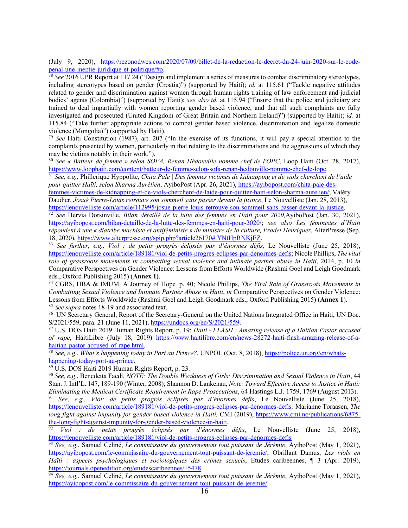(July 9, 2020), https://rezonodwes.com/2020/07/09/billet-de-la-redaction-le-decret-du-24-juin-2020-sur-le-codepenal-une-ineptie-juridique-et-politique/#o.

<sup>78</sup> *See* 2016 UPR Report at 117.24 ("Design and implement a series of measures to combat discriminatory stereotypes, including stereotypes based on gender (Croatia)") (supported by Haiti); *id.* at 115.61 ("Tackle negative attitudes related to gender and discrimination against women through human rights training of law enforcement and judicial bodies' agents (Colombia)") (supported by Haiti); *see also id.* at 115.94 ("Ensure that the police and judiciary are trained to deal impartially with women reporting gender based violence, and that all such complaints are fully investigated and prosecuted (United Kingdom of Great Britain and Northern Ireland)") (supported by Haiti); *id.* at 115.84 ("Take further appropriate actions to combat gender based violence, discrimination and legalize domestic violence (Mongolia)") (supported by Haiti).

<sup>79</sup> *See* Haiti Constitution (1987), art. 207 ("In the exercise of its functions, it will pay a special attention to the complaints presented by women, particularly in that relating to the discriminations and the aggressions of which they may be victims notably in their work.").

<sup>80</sup> *See « Batteur de femme » selon SOFA, Renan Hédouville nommé chef de l'OPC*, Loop Haiti (Oct. 28, 2017), https://www.loophaiti.com/content/batteur-de-femme-selon-sofa-renan-hedouville-nomme-chef-de-lopc.<br><sup>81</sup> See, e.g., Phillerique Hyppolite, Chita Pale | Des femmes victimes de kidnapping et de viols cherchent de l'aide

*pour quitter Haïti, selon Sharma Aurélien*, AyiboPost (Apr. 26, 2021), https://ayibopost.com/chita-pale-des-

femmes-victimes-de-kidnapping-et-de-viols-cherchent-de-laide-pour-quitter-haiti-selon-sharma-aurelien/; Valéry Daudier, *Josué Pierre-Louis retrouve son sommeil sans passer devant la justice*, Le Nouvelliste (Jan. 28, 2013), https://lenouvelliste.com/article/112995/josue-pierre-louis-retrouve-son-sommeil-sans-passer-devant-la-justice.

<sup>82</sup> *See* Hervia Dorsinville, *Bilan détaillé de la lutte des femmes en Haïti pour 2020,*AyiboPost (Jan. 30, 2021), https://ayibopost.com/bilan-detaille-de-la-lutte-des-femmes-en-haiti-pour-2020/; *see also Les féministes d'Haïti répondent à une « diatribe machiste et antiféministe » du ministre de la culture, Pradel Henriquez*, AlterPresse (Sep. 18, 2020), https://www.alterpresse.org/spip.php?article26170#.YNtHpRNKjEZ. 83 *See further, e.g., Viol : de petits progrès éclipsés par d'énormes défis*, Le Nouvelliste (June 25, 2018),

https://lenouvelliste.com/article/189181/viol-de-petits-progres-eclipses-par-denormes-defis; Nicole Phillips, *The vital role of grassroots movements in combatting sexual violence and intimate partner abuse in Haiti*, 2014, p. 10 *in* Comparative Perspectives on Gender Violence: Lessons from Efforts Worldwide (Rashmi Goel and Leigh Goodmark eds., Oxford Publishing 2015) (**Annex 1)**.

<sup>84</sup> CGRS, HBA & IMUM, A Journey of Hope*,* p. 40; Nicole Phillips, *The Vital Role of Grassroots Movements in Combatting Sexual Violence and Intimate Partner Abuse in Haiti*, *in* Comparative Perspectives on Gender Violence: Lessons from Efforts Worldwide (Rashmi Goel and Leigh Goodmark eds., Oxford Publishing 2015) (**Annex 1**). <sup>85</sup> *See supra* notes 18-19 and associated text.

86 UN Secretary General, Report of the Secretary-General on the United Nations Integrated Office in Haiti, UN Doc. S/2021/559, para. 21 (June 11, 2021), *https://undocs.org/en/S/2021/559*.<br><sup>87</sup> U.S. DOS Haiti 2019 Human Rights Report, p. 19; *Haiti - FLASH : Amazing release of a Haitian Pastor accused* 

*of rape*, HaitiLibre (July 18, 2019) https://www.haitilibre.com/en/news-28272-haiti-flash-amazing-release-of-ahaitian-pastor-accused-of-rape.html.

<sup>88</sup> *See, e.g.*, *What's happening today in Port au Prince?*, UNPOL (Oct. 8, 2018), https://police.un.org/en/whatshappening-today-port-au-prince.<br><sup>89</sup> U.S. DOS Haiti 2019 Human Rights Report, p. 23.<br><sup>90</sup> *See, e.g.*, Benedetta Faedi, *NOTE: The Double Weakness of Girls: Discrimination and Sexual Violence in Haiti*, 44

Stan. J. Intl'L. 147, 189-190 (Winter, 2008); Shannon D. Lankenau, *Note: Toward Effective Access to Justice in Haiti: Eliminating the Medical Certificate Requirement in Rape Prosecutions*, 64 Hastings L.J. 1759, 1769 (August 2013).

<sup>91</sup> *See, e.g., Viol: de petits progrès éclipsés par d'énormes défis*, Le Nouvelliste (June 25, 2018), https://lenouvelliste.com/article/189181/viol-de-petits-progres-eclipses-par-denormes-defis*;* Marianne Toraasen, *The long fight against impunity for gender-based violence in Haiti,* CMI (2019), https://www.cmi.no/publications/6875 the-long-fight-against-impunity-for-gender-based-violence-in-haiti. 92 *Viol : de petits progrès éclipsés par d'énormes défis*, Le Nouvelliste (June 25, 2018),

https://lenouvelliste.com/article/189181/viol-de-petits-progres-eclipses-par-denormes-defis

<sup>93</sup> *See, e.g.*, Samuel Celiné, *Le commissaire du gouvernement tout puissant de Jérémie*, AyiboPost (May 1, 2021), https://ayibopost.com/le-commissaire-du-gouvernement-tout-puissant-de-jeremie/; Obrillant Damus, *Les viols en Haïti : aspects psychologiques et sociologiques des crimes sexuels*, Etudes caribéennes, ¶ 3 (Apr. 2019), https://journals.openedition.org/etudescaribeennes/15478.

<sup>94</sup> *See, e.g.*, Samuel Celiné, *Le commissaire du gouvernement tout puissant de Jérémie*, AyiboPost (May 1, 2021), https://ayibopost.com/le-commissaire-du-gouvernement-tout-puissant-de-jeremie/.